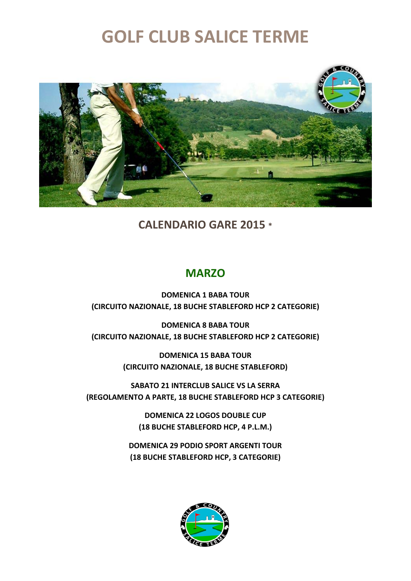

**CALENDARIO GARE 2015 \***

#### **MARZO**

**DOMENICA 1 BABA TOUR (CIRCUITO NAZIONALE, 18 BUCHE STABLEFORD HCP 2 CATEGORIE)** 

**DOMENICA 8 BABA TOUR (CIRCUITO NAZIONALE, 18 BUCHE STABLEFORD HCP 2 CATEGORIE)** 

> **DOMENICA 15 BABA TOUR (CIRCUITO NAZIONALE, 18 BUCHE STABLEFORD)**

**SABATO 21 INTERCLUB SALICE VS LA SERRA (REGOLAMENTO A PARTE, 18 BUCHE STABLEFORD HCP 3 CATEGORIE)** 

> **DOMENICA 22 LOGOS DOUBLE CUP (18 BUCHE STABLEFORD HCP, 4 P.L.M.)**

**DOMENICA 29 PODIO SPORT ARGENTI TOUR (18 BUCHE STABLEFORD HCP, 3 CATEGORIE)** 

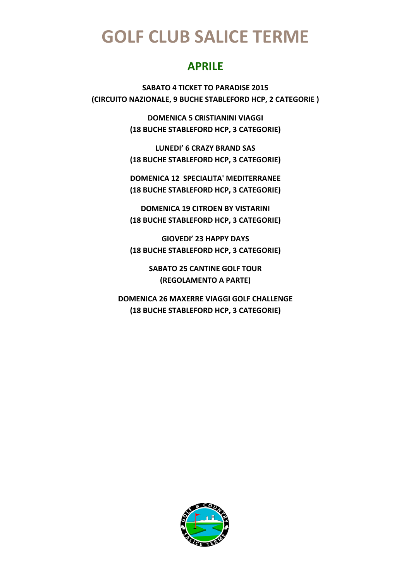#### **APRILE**

**SABATO 4 TICKET TO PARADISE 2015 (CIRCUITO NAZIONALE, 9 BUCHE STABLEFORD HCP, 2 CATEGORIE )** 

> **DOMENICA 5 CRISTIANINI VIAGGI (18 BUCHE STABLEFORD HCP, 3 CATEGORIE)**

> **LUNEDI' 6 CRAZY BRAND SAS (18 BUCHE STABLEFORD HCP, 3 CATEGORIE)**

> **DOMENICA 12 SPECIALITA' MEDITERRANEE (18 BUCHE STABLEFORD HCP, 3 CATEGORIE)**

> **DOMENICA 19 CITROEN BY VISTARINI (18 BUCHE STABLEFORD HCP, 3 CATEGORIE)**

> **GIOVEDI' 23 HAPPY DAYS (18 BUCHE STABLEFORD HCP, 3 CATEGORIE)**

> > **SABATO 25 CANTINE GOLF TOUR (REGOLAMENTO A PARTE)**

**DOMENICA 26 MAXERRE VIAGGI GOLF CHALLENGE (18 BUCHE STABLEFORD HCP, 3 CATEGORIE)** 

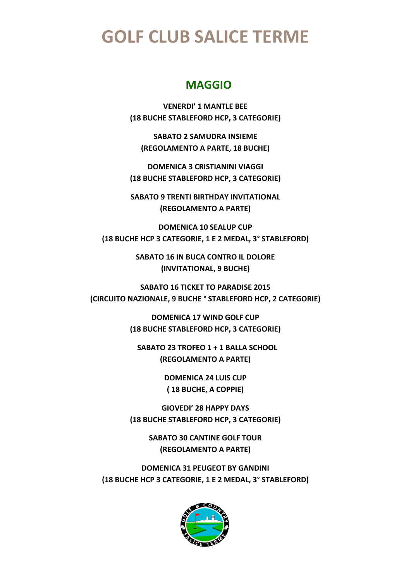#### **MAGGIO**

**VENERDI' 1 MANTLE BEE (18 BUCHE STABLEFORD HCP, 3 CATEGORIE)** 

**SABATO 2 SAMUDRA INSIEME (REGOLAMENTO A PARTE, 18 BUCHE)** 

**DOMENICA 3 CRISTIANINI VIAGGI (18 BUCHE STABLEFORD HCP, 3 CATEGORIE)** 

**SABATO 9 TRENTI BIRTHDAY INVITATIONAL (REGOLAMENTO A PARTE)** 

**DOMENICA 10 SEALUP CUP (18 BUCHE HCP 3 CATEGORIE, 1 E 2 MEDAL, 3° STABLEFORD)** 

> **SABATO 16 IN BUCA CONTRO IL DOLORE (INVITATIONAL, 9 BUCHE)**

**SABATO 16 TICKET TO PARADISE 2015 (CIRCUITO NAZIONALE, 9 BUCHE ° STABLEFORD HCP, 2 CATEGORIE)** 

> **DOMENICA 17 WIND GOLF CUP (18 BUCHE STABLEFORD HCP, 3 CATEGORIE)**

 **SABATO 23 TROFEO 1 + 1 BALLA SCHOOL (REGOLAMENTO A PARTE)** 

> **DOMENICA 24 LUIS CUP ( 18 BUCHE, A COPPIE)**

**GIOVEDI' 28 HAPPY DAYS (18 BUCHE STABLEFORD HCP, 3 CATEGORIE)** 

> **SABATO 30 CANTINE GOLF TOUR (REGOLAMENTO A PARTE)**

**DOMENICA 31 PEUGEOT BY GANDINI (18 BUCHE HCP 3 CATEGORIE, 1 E 2 MEDAL, 3° STABLEFORD)** 

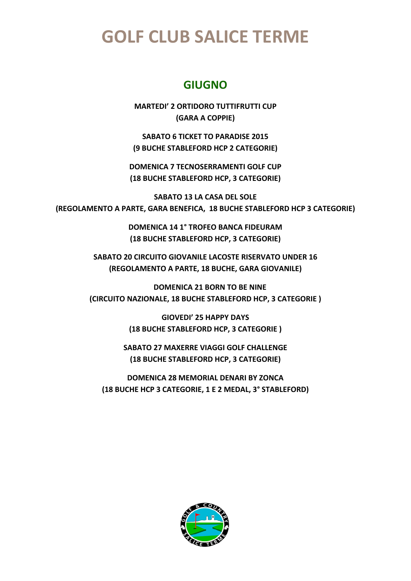#### **GIUGNO**

**MARTEDI' 2 ORTIDORO TUTTIFRUTTI CUP (GARA A COPPIE)** 

**SABATO 6 TICKET TO PARADISE 2015 (9 BUCHE STABLEFORD HCP 2 CATEGORIE)** 

**DOMENICA 7 TECNOSERRAMENTI GOLF CUP (18 BUCHE STABLEFORD HCP, 3 CATEGORIE)** 

**SABATO 13 LA CASA DEL SOLE (REGOLAMENTO A PARTE, GARA BENEFICA, 18 BUCHE STABLEFORD HCP 3 CATEGORIE)** 

> **DOMENICA 14 1° TROFEO BANCA FIDEURAM (18 BUCHE STABLEFORD HCP, 3 CATEGORIE)**

**SABATO 20 CIRCUITO GIOVANILE LACOSTE RISERVATO UNDER 16 (REGOLAMENTO A PARTE, 18 BUCHE, GARA GIOVANILE)** 

 **DOMENICA 21 BORN TO BE NINE (CIRCUITO NAZIONALE, 18 BUCHE STABLEFORD HCP, 3 CATEGORIE )** 

> **GIOVEDI' 25 HAPPY DAYS (18 BUCHE STABLEFORD HCP, 3 CATEGORIE )**

**SABATO 27 MAXERRE VIAGGI GOLF CHALLENGE (18 BUCHE STABLEFORD HCP, 3 CATEGORIE)** 

**DOMENICA 28 MEMORIAL DENARI BY ZONCA (18 BUCHE HCP 3 CATEGORIE, 1 E 2 MEDAL, 3° STABLEFORD)** 

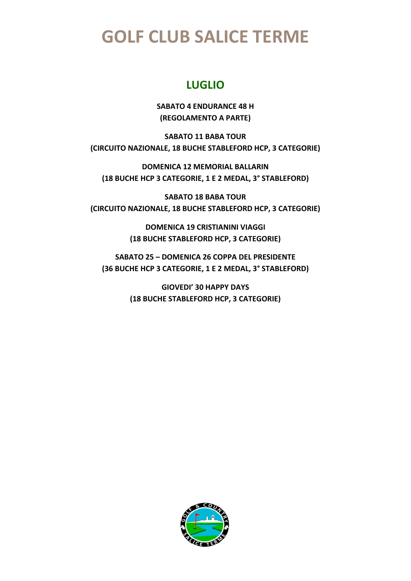#### **LUGLIO**

**SABATO 4 ENDURANCE 48 H (REGOLAMENTO A PARTE)** 

**SABATO 11 BABA TOUR (CIRCUITO NAZIONALE, 18 BUCHE STABLEFORD HCP, 3 CATEGORIE)** 

**DOMENICA 12 MEMORIAL BALLARIN (18 BUCHE HCP 3 CATEGORIE, 1 E 2 MEDAL, 3° STABLEFORD)** 

**SABATO 18 BABA TOUR (CIRCUITO NAZIONALE, 18 BUCHE STABLEFORD HCP, 3 CATEGORIE)** 

> **DOMENICA 19 CRISTIANINI VIAGGI (18 BUCHE STABLEFORD HCP, 3 CATEGORIE)**

**SABATO 25 – DOMENICA 26 COPPA DEL PRESIDENTE (36 BUCHE HCP 3 CATEGORIE, 1 E 2 MEDAL, 3° STABLEFORD)** 

> **GIOVEDI' 30 HAPPY DAYS (18 BUCHE STABLEFORD HCP, 3 CATEGORIE)**

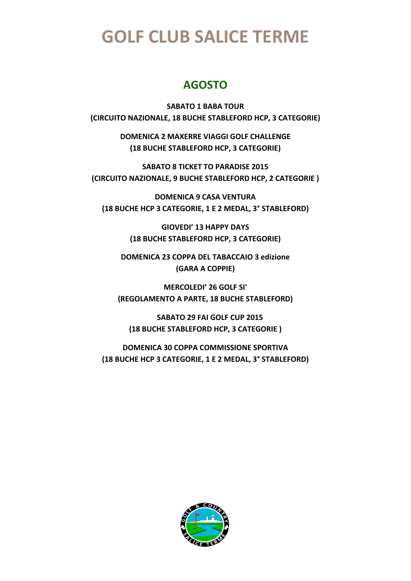### **AGOSTO**

**SABATO 1 BABA TOUR (CIRCUITO NAZIONALE, 18 BUCHE STABLEFORD HCP, 3 CATEGORIE)** 

> **DOMENICA 2 MAXERRE VIAGGI GOLF CHALLENGE (18 BUCHE STABLEFORD HCP, 3 CATEGORIE)**

**SABATO 8 TICKET TO PARADISE 2015 (CIRCUITO NAZIONALE, 9 BUCHE STABLEFORD HCP, 2 CATEGORIE )** 

**DOMENICA 9 CASA VENTURA (18 BUCHE HCP 3 CATEGORIE, 1 E 2 MEDAL, 3° STABLEFORD)** 

> **GIOVEDI' 13 HAPPY DAYS (18 BUCHE STABLEFORD HCP, 3 CATEGORIE)**

**DOMENICA 23 COPPA DEL TABACCAIO 3 edizione (GARA A COPPIE)** 

**MERCOLEDI' 26 GOLF SI' (REGOLAMENTO A PARTE, 18 BUCHE STABLEFORD)** 

 **SABATO 29 FAI GOLF CUP 2015 (18 BUCHE STABLEFORD HCP, 3 CATEGORIE )** 

**DOMENICA 30 COPPA COMMISSIONE SPORTIVA (18 BUCHE HCP 3 CATEGORIE, 1 E 2 MEDAL, 3° STABLEFORD)** 

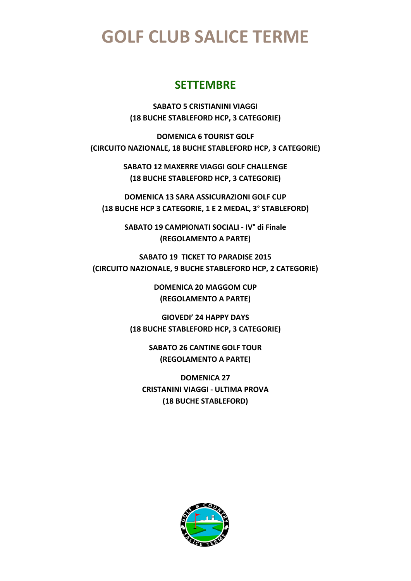#### **SETTEMBRE**

**SABATO 5 CRISTIANINI VIAGGI (18 BUCHE STABLEFORD HCP, 3 CATEGORIE)** 

**DOMENICA 6 TOURIST GOLF (CIRCUITO NAZIONALE, 18 BUCHE STABLEFORD HCP, 3 CATEGORIE)** 

> **SABATO 12 MAXERRE VIAGGI GOLF CHALLENGE (18 BUCHE STABLEFORD HCP, 3 CATEGORIE)**

**DOMENICA 13 SARA ASSICURAZIONI GOLF CUP (18 BUCHE HCP 3 CATEGORIE, 1 E 2 MEDAL, 3° STABLEFORD)** 

> **SABATO 19 CAMPIONATI SOCIALI - IV° di Finale (REGOLAMENTO A PARTE)**

**SABATO 19 TICKET TO PARADISE 2015 (CIRCUITO NAZIONALE, 9 BUCHE STABLEFORD HCP, 2 CATEGORIE)** 

> **DOMENICA 20 MAGGOM CUP (REGOLAMENTO A PARTE)**

**GIOVEDI' 24 HAPPY DAYS (18 BUCHE STABLEFORD HCP, 3 CATEGORIE)** 

> **SABATO 26 CANTINE GOLF TOUR (REGOLAMENTO A PARTE)**

**DOMENICA 27 CRISTANINI VIAGGI - ULTIMA PROVA (18 BUCHE STABLEFORD)** 

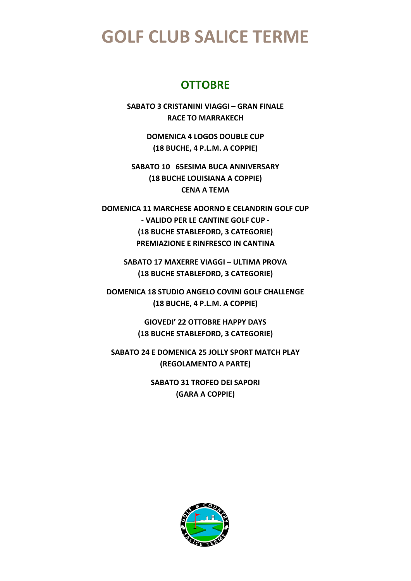#### **OTTOBRE**

**SABATO 3 CRISTANINI VIAGGI – GRAN FINALE RACE TO MARRAKECH** 

> **DOMENICA 4 LOGOS DOUBLE CUP (18 BUCHE, 4 P.L.M. A COPPIE)**

**SABATO 10 65ESIMA BUCA ANNIVERSARY (18 BUCHE LOUISIANA A COPPIE) CENA A TEMA** 

**DOMENICA 11 MARCHESE ADORNO E CELANDRIN GOLF CUP - VALIDO PER LE CANTINE GOLF CUP - (18 BUCHE STABLEFORD, 3 CATEGORIE) PREMIAZIONE E RINFRESCO IN CANTINA** 

**SABATO 17 MAXERRE VIAGGI – ULTIMA PROVA (18 BUCHE STABLEFORD, 3 CATEGORIE)** 

**DOMENICA 18 STUDIO ANGELO COVINI GOLF CHALLENGE (18 BUCHE, 4 P.L.M. A COPPIE)** 

> **GIOVEDI' 22 OTTOBRE HAPPY DAYS (18 BUCHE STABLEFORD, 3 CATEGORIE)**

**SABATO 24 E DOMENICA 25 JOLLY SPORT MATCH PLAY (REGOLAMENTO A PARTE)** 

> **SABATO 31 TROFEO DEI SAPORI (GARA A COPPIE)**